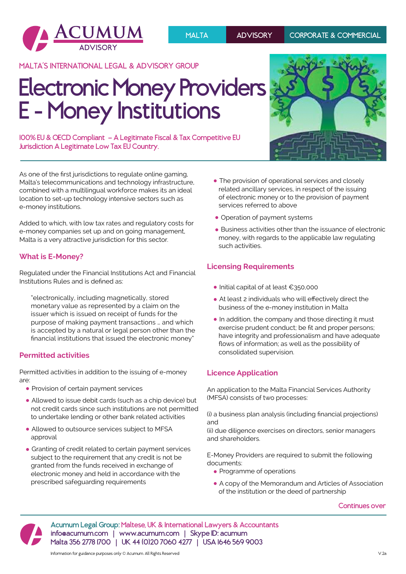

**MALTA'S INTERNATIONAL LEGAL & ADVISORY GROUP**

# **Electronic Money Providers E - Money Institutions**

**100% EU & OECD Compliant — A Legitimate Fiscal & Tax Competitive EU Jurisdiction A Legitimate Low Tax EU Country.**

As one of the first jurisdictions to regulate online gaming, Malta's telecommunications and technology infrastructure, combined with a multilingual workforce makes its an ideal location to set-up technology intensive sectors such as e-money institutions.

Added to which, with low tax rates and regulatory costs for e-money companies set up and on going management, Malta is a very attractive jurisdiction for this sector.

# **What is E-Money?**

Regulated under the Financial Institutions Act and Financial Institutions Rules and is defined as:

"electronically, including magnetically, stored monetary value as represented by a claim on the issuer which is issued on receipt of funds for the purpose of making payment transactions … and which is accepted by a natural or legal person other than the financial institutions that issued the electronic money"

## **Permitted activities**

Permitted activities in addition to the issuing of e-money are:

- **•** Provision of certain payment services
- **•** Allowed to issue debit cards (such as a chip device) but not credit cards since such institutions are not permitted to undertake lending or other bank related activities
- **•** Allowed to outsource services subject to MFSA approval
- **•** Granting of credit related to certain payment services subject to the requirement that any credit is not be granted from the funds received in exchange of electronic money and held in accordance with the prescribed safeguarding requirements
- **•** The provision of operational services and closely related ancillary services, in respect of the issuing of electronic money or to the provision of payment services referred to above
- **•** Operation of payment systems
- **•** Business activities other than the issuance of electronic money, with regards to the applicable law regulating such activities.

# **Licensing Requirements**

- **•**Initial capital of at least €350,000
- **•** At least 2 individuals who will effectively direct the business of the e-money institution in Malta
- In addition, the company and those directing it must exercise prudent conduct; be fit and proper persons; have integrity and professionalism and have adequate flows of information; as well as the possibility of consolidated supervision.

## **Licence Application**

An application to the Malta Financial Services Authority (MFSA) consists of two processes:

(i) a business plan analysis (including financial projections) and

(ii) due diligence exercises on directors, senior managers and shareholders.

E-Money Providers are required to submit the following documents:

- **•** Programme of operations
- **•** A copy of the Memorandum and Articles of Association of the institution or the deed of partnership

**Continues over**



**ADVISORY Malta 356 2778 1700 | UK 44 (0)20 7060 4277 | USA 1646 569 9003 Acumum Legal Group: Maltese, UK & International Lawyers & Accountants info@acumum.com | www.acumum.com | Skype ID: acumum**